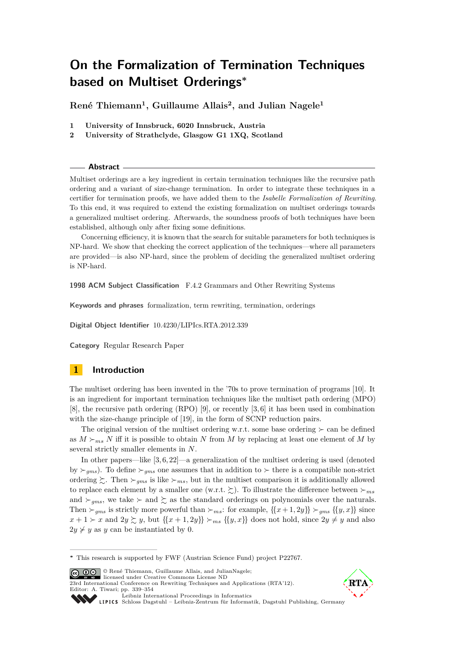**René Thiemann<sup>1</sup> , Guillaume Allais<sup>2</sup> , and Julian Nagele<sup>1</sup>**

- **1 University of Innsbruck, 6020 Innsbruck, Austria**
- **2 University of Strathclyde, Glasgow G1 1XQ, Scotland**

#### **Abstract**

Multiset orderings are a key ingredient in certain termination techniques like the recursive path ordering and a variant of size-change termination. In order to integrate these techniques in a certifier for termination proofs, we have added them to the *Isabelle Formalization of Rewriting*. To this end, it was required to extend the existing formalization on multiset orderings towards a generalized multiset ordering. Afterwards, the soundness proofs of both techniques have been established, although only after fixing some definitions.

Concerning efficiency, it is known that the search for suitable parameters for both techniques is NP-hard. We show that checking the correct application of the techniques—where all parameters are provided—is also NP-hard, since the problem of deciding the generalized multiset ordering is NP-hard.

**1998 ACM Subject Classification** F.4.2 Grammars and Other Rewriting Systems

**Keywords and phrases** formalization, term rewriting, termination, orderings

**Digital Object Identifier** [10.4230/LIPIcs.RTA.2012.339](http://dx.doi.org/10.4230/LIPIcs.RTA.2012.339)

**Category** Regular Research Paper

# **1 Introduction**

The multiset ordering has been invented in the '70s to prove termination of programs [\[10\]](#page-15-0). It is an ingredient for important termination techniques like the multiset path ordering (MPO)  $[8]$ , the recursive path ordering  $(RPO)$  [\[9\]](#page-15-2), or recently  $[3, 6]$  $[3, 6]$  it has been used in combination with the size-change principle of [\[19\]](#page-15-4), in the form of SCNP reduction pairs.

The original version of the multiset ordering w.r.t. some base ordering  $\succeq$  can be defined as  $M \succ_{ms} N$  iff it is possible to obtain N from M by replacing at least one element of M by several strictly smaller elements in N.

In other papers—like  $[3, 6, 22]$  $[3, 6, 22]$  $[3, 6, 22]$ —a generalization of the multiset ordering is used (denoted by  $\succ_{ams}$ ). To define  $\succ_{ams}$  one assumes that in addition to  $\succ$  there is a compatible non-strict ordering  $\sum$ . Then  $\succ_{ms}$  is like  $\succ_{ms}$ , but in the multiset comparison it is additionally allowed to replace each element by a smaller one (w.r.t.  $\gtrsim$ ). To illustrate the difference between  $\succ_{ms}$ and  $\succ_{\textit{ams}}$ , we take  $\succ$  and  $\succ$  as the standard orderings on polynomials over the naturals. Then  $\succ_{qms}$  is strictly more powerful than  $\succ_{ms}$ : for example,  $\{\{x+1, 2y\}\}\succ_{qms} \{\{y, x\}\}\$  since  $x + 1 > x$  and  $2y \gtrsim y$ , but  $\{x + 1, 2y\} \gtrsim ms$   $\{\{y, x\}\}\)$  does not hold, since  $2y \neq y$  and also  $2y \nless y$  as y can be instantiated by 0.

© René Thiemann, Guillaume Allais, and JulianNagele; licensed under Creative Commons License ND

[23rd International Conference on Rewriting Techniques and Applications \(RTA'12\).](http://www.dagstuhl.de/dagpub/978-3-939897-38-5) Editor: A. Tiwari; pp. 339[–354](#page-15-6)





[Leibniz International Proceedings in Informatics](http://www.dagstuhl.de/lipics/) [Schloss Dagstuhl – Leibniz-Zentrum für Informatik, Dagstuhl Publishing, Germany](http://www.dagstuhl.de)

**<sup>∗</sup>** This research is supported by FWF (Austrian Science Fund) project P22767.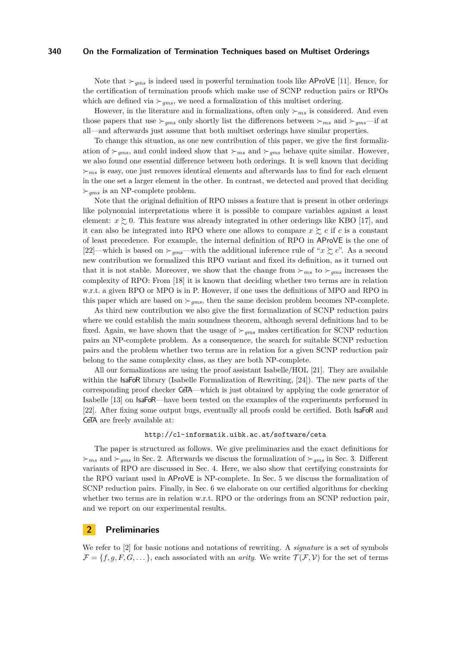Note that  $\gtrsim_{ams}$  is indeed used in powerful termination tools like AProVE [\[11\]](#page-15-7). Hence, for the certification of termination proofs which make use of SCNP reduction pairs or RPOs which are defined via  $\succ_{ams}$ , we need a formalization of this multiset ordering.

However, in the literature and in formalizations, often only  $\succ_{ms}$  is considered. And even those papers that use  $\succ_{gms}$  only shortly list the differences between  $\succ_{ms}$  and  $\succ_{gms}$ —if at all—and afterwards just assume that both multiset orderings have similar properties.

To change this situation, as one new contribution of this paper, we give the first formalization of  $\succ_{gms}$ , and could indeed show that  $\succ_{ms}$  and  $\succ_{gms}$  behave quite similar. However, we also found one essential difference between both orderings. It is well known that deciding  $\succ_{ms}$  is easy, one just removes identical elements and afterwards has to find for each element in the one set a larger element in the other. In contrast, we detected and proved that deciding  $\succ_{\textit{ams}}$  is an NP-complete problem.

Note that the original definition of RPO misses a feature that is present in other orderings like polynomial interpretations where it is possible to compare variables against a least element:  $x \gtrsim 0$ . This feature was already integrated in other orderings like KBO [\[17\]](#page-15-8), and it can also be integrated into RPO where one allows to compare  $x \succeq c$  if c is a constant of least precedence. For example, the internal definition of RPO in AProVE is the one of [\[22\]](#page-15-5)—which is based on  $\succ_{gms}$ —with the additional inference rule of " $x \succsim c$ ". As a second new contribution we formalized this RPO variant and fixed its definition, as it turned out that it is not stable. Moreover, we show that the change from  $\succ_{ms}$  to  $\succ_{qms}$  increases the complexity of RPO: From [\[18\]](#page-15-9) it is known that deciding whether two terms are in relation w.r.t. a given RPO or MPO is in P. However, if one uses the definitions of MPO and RPO in this paper which are based on  $\succ_{gms}$ , then the same decision problem becomes NP-complete.

As third new contribution we also give the first formalization of SCNP reduction pairs where we could establish the main soundness theorem, although several definitions had to be fixed. Again, we have shown that the usage of  $\succ_{qms}$  makes certification for SCNP reduction pairs an NP-complete problem. As a consequence, the search for suitable SCNP reduction pairs and the problem whether two terms are in relation for a given SCNP reduction pair belong to the same complexity class, as they are both NP-complete.

All our formalizations are using the proof assistant Isabelle/HOL [\[21\]](#page-15-10). They are available within the IsaFoR library (Isabelle Formalization of Rewriting, [\[24\]](#page-15-11)). The new parts of the corresponding proof checker CeTA—which is just obtained by applying the code generator of Isabelle [\[13\]](#page-15-12) on IsaFoR—have been tested on the examples of the experiments performed in [\[22\]](#page-15-5). After fixing some output bugs, eventually all proofs could be certified. Both IsaFoR and CeTA are freely available at:

### <http://cl-informatik.uibk.ac.at/software/ceta>

The paper is structured as follows. We give preliminaries and the exact definitions for  $\succ_{ms}$  and  $\succ_{qms}$  in Sec. [2.](#page-1-0) Afterwards we discuss the formalization of  $\succ_{qms}$  in Sec. [3.](#page-2-0) Different variants of RPO are discussed in Sec. [4.](#page-4-0) Here, we also show that certifying constraints for the RPO variant used in AProVE is NP-complete. In Sec. [5](#page-8-0) we discuss the formalization of SCNP reduction pairs. Finally, in Sec. [6](#page-13-0) we elaborate on our certified algorithms for checking whether two terms are in relation w.r.t. RPO or the orderings from an SCNP reduction pair, and we report on our experimental results.

# <span id="page-1-0"></span>**2 Preliminaries**

We refer to [\[2\]](#page-14-1) for basic notions and notations of rewriting. A *signature* is a set of symbols  $\mathcal{F} = \{f, g, F, G, \dots\}$ , each associated with an *arity*. We write  $\mathcal{T}(\mathcal{F}, \mathcal{V})$  for the set of terms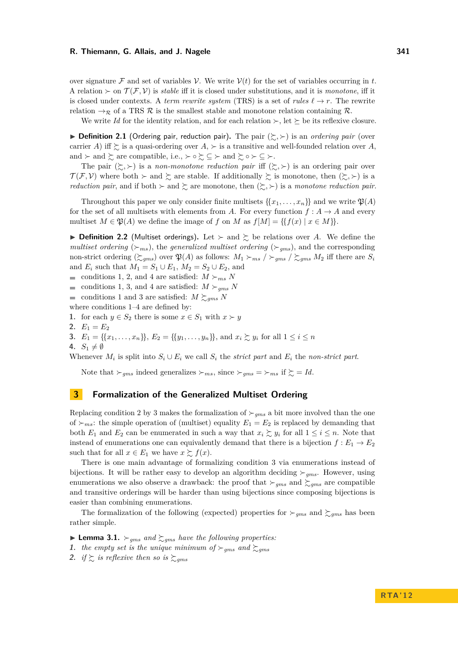over signature F and set of variables V. We write  $V(t)$  for the set of variables occurring in t. A relation  $\succ$  on  $\mathcal{T}(\mathcal{F}, \mathcal{V})$  is *stable* iff it is closed under substitutions, and it is *monotone*, iff it is closed under contexts. A *term rewrite system* (TRS) is a set of *rules*  $\ell \rightarrow r$ . The rewrite relation  $\rightarrow_{\mathcal{R}}$  of a TRS  $\mathcal{R}$  is the smallest stable and monotone relation containing  $\mathcal{R}$ .

We write *Id* for the identity relation, and for each relation  $\succ$ , let  $\succeq$  be its reflexive closure.

<span id="page-2-6"></span> $\triangleright$  **Definition 2.1** (Ordering pair, reduction pair). The pair  $(\succsim, \succ)$  is an *ordering pair* (over carrier A) iff  $\succsim$  is a quasi-ordering over  $A$ ,  $\succ$  is a transitive and well-founded relation over A, and  $\succ$  and  $\succright$  are compatible, i.e.,  $\succ \circ \succsim \subseteq \succ$  and  $\succsim \circ \succ \subseteq \succ$ .

The pair  $(\succsim, \succ)$  is a *non-monotone reduction pair* iff  $(\succsim, \succ)$  is an ordering pair over  $\mathcal{T}(\mathcal{F}, \mathcal{V})$  where both  $\succ$  and  $\succsim$  are stable. If additionally  $\succsim$  is monotone, then  $(\succsim, \succ)$  is a *reduction pair*, and if both  $\succ$  and  $\succsim$  are monotone, then  $(\succsim, \succ)$  is a *monotone reduction pair*.

Throughout this paper we only consider finite multisets  $\{x_1, \ldots, x_n\}$  and we write  $\mathfrak{P}(A)$ for the set of all multisets with elements from A. For every function  $f : A \to A$  and every multiset  $M \in \mathfrak{P}(A)$  we define the image of f on M as  $f[M] = \{f(x) | x \in M\}$ .

**Definition 2.2** (Multiset orderings). Let  $\succ$  and  $\succsim$  be relations over A. We define the *multiset ordering* ( $\succ_{ms}$ ), the *generalized multiset ordering* ( $\succ_{gms}$ ), and the corresponding non-strict ordering  $(\gtrsim_{gms})$  over  $\mathfrak{P}(A)$  as follows:  $M_1 \gtrsim_{ms} / \gtrsim_{gms} M_2$  iff there are  $S_i$ and  $E_i$  such that  $M_1 = S_1 \cup E_1$ ,  $M_2 = S_2 \cup E_2$ , and

conditions [1,](#page-2-1) [2,](#page-2-2) and [4](#page-2-3) are satisfied:  $M \succ_{ms} N$ 

- conditions [1,](#page-2-1) [3,](#page-2-4) and [4](#page-2-3) are satisfied:  $M \succ_{qms} N$
- conditions [1](#page-2-1) and [3](#page-2-4) are satisfied:  $M \succeq_{qms} N$

where conditions [1–](#page-2-1)[4](#page-2-3) are defined by:

- <span id="page-2-1"></span>**1.** for each  $y \in S_2$  there is some  $x \in S_1$  with  $x \succ y$
- <span id="page-2-2"></span>2.  $E_1 = E_2$
- <span id="page-2-4"></span>**3.**  $E_1 = \{\{x_1, \ldots, x_n\}\}\$ ,  $E_2 = \{\{y_1, \ldots, y_n\}\}\$ , and  $x_i \succsim y_i$  for all  $1 \leq i \leq n$
- <span id="page-2-3"></span>4.  $S_1 \neq \emptyset$

Whenever  $M_i$  is split into  $S_i \cup E_i$  we call  $S_i$  the *strict part* and  $E_i$  the *non-strict part*.

Note that  $\succ_{qms}$  indeed generalizes  $\succ_{ms}$ , since  $\succ_{qms} = \succ_{ms}$  if  $\succsim = Id$ .

# <span id="page-2-0"></span>**3 Formalization of the Generalized Multiset Ordering**

Replacing condition [2](#page-2-2) by [3](#page-2-4) makes the formalization of  $\succ_{qms}$  a bit more involved than the one of  $\succ_{ms}$ : the simple operation of (multiset) equality  $E_1 = E_2$  is replaced by demanding that both  $E_1$  and  $E_2$  can be enumerated in such a way that  $x_i \gtrsim y_i$  for all  $1 \leq i \leq n$ . Note that instead of enumerations one can equivalently demand that there is a bijection  $f : E_1 \to E_2$ such that for all  $x \in E_1$  we have  $x \succeq f(x)$ .

There is one main advantage of formalizing condition [3](#page-2-4) via enumerations instead of bijections. It will be rather easy to develop an algorithm deciding  $\succ_{qms}$ . However, using enumerations we also observe a drawback: the proof that  $\succ_{gms}$  and  $\succsim_{gms}$  are compatible and transitive orderings will be harder than using bijections since composing bijections is easier than combining enumerations.

The formalization of the following (expected) properties for  $\succ_{gms}$  and  $\succsim_{gms}$  has been rather simple.

<span id="page-2-5"></span> $\blacktriangleright$  **Lemma 3.1.**  $\succ_{gms}$  *and*  $\succsim_{gms}$  *have the following properties:* 

- **1.** the empty set is the unique minimum of  $\succ_{gms}$  and  $\succsim_{gms}$
- **2.** *if*  $\gtrsim$  *is reflexive then so is*  $\gtrsim_{gms}$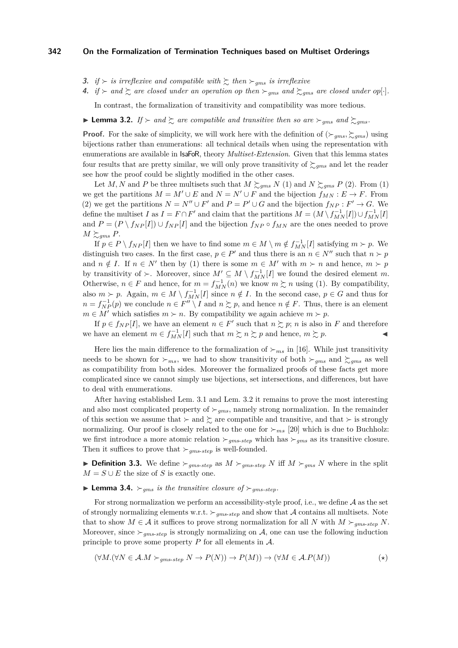- **3.** *if*  $\succ$  *is irreflexive and compatible with*  $\succsim$  *then*  $\succsim$ <sub>*gms</sub> is irreflexive*</sub>
- **4.** if  $\succ$  and  $\succsim$  are closed under an operation op then  $\succ$ <sub>gms</sub> and  $\succsim$ <sub>gms</sub> are closed under op[·].

In contrast, the formalization of transitivity and compatibility was more tedious.

<span id="page-3-0"></span>**If**  $\geq$  and  $\geq$  *are compatible and transitive then so are*  $\succ_{gms}$  *and*  $\geq$  *gms* 

**Proof.** For the sake of simplicity, we will work here with the definition of  $(\succ_{qms}, \succ_{qams})$  using bijections rather than enumerations: all technical details when using the representation with enumerations are available in IsaFoR, theory *Multiset-Extension*. Given that this lemma states four results that are pretty similar, we will only prove transitivity of  $\sum_{g}$  and let the reader see how the proof could be slightly modified in the other cases.

Let M, N and P be three multisets such that  $M \succeq_{gms} N$  (1) and  $N \succeq_{gms} P$  (2). From (1) we get the partitions  $M = M' \cup E$  and  $N = N' \cup F$  and the bijection  $f_{MN} : E \to F$ . From (2) we get the partitions  $N = N'' \cup F'$  and  $P = P' \cup G$  and the bijection  $f_{NP} : F' \to G$ . We define the multiset I as  $I = F \cap F'$  and claim that the partitions  $M = (M \setminus f_{MN}^{-1}[I]) \cup f_{MN}^{-1}[I]$ and  $P = (P \setminus f_{NP}[I]) \cup f_{NP}[I]$  and the bijection  $f_{NP} \circ f_{MN}$  are the ones needed to prove  $M \succeq_{qms} P$ .

If  $p \in P \setminus f_{NP}[I]$  then we have to find some  $m \in M \setminus m \notin f_{MN}^{-1}[I]$  satisfying  $m \succ p$ . We distinguish two cases. In the first case,  $p \in P'$  and thus there is an  $n \in N''$  such that  $n \succ p$ and  $n \notin I$ . If  $n \in N'$  then by (1) there is some  $m \in M'$  with  $m \succ n$  and hence,  $m \succ p$ by transitivity of  $\succ$ . Moreover, since  $M' \subseteq M \setminus f_{MN}^{-1}[I]$  we found the desired element m. Otherwise,  $n \in F$  and hence, for  $m = f_{MN}^{-1}(n)$  we know  $m \succeq n$  using (1). By compatibility, also  $m \succ p$ . Again,  $m \in M \setminus f_{MN}^{-1}[I]$  since  $n \notin I$ . In the second case,  $p \in G$  and thus for  $n = f_{NP}^{-1}(p)$  we conclude  $n \in F'' \setminus I$  and  $n \succsim p$ , and hence  $n \notin F$ . Thus, there is an element  $m \in M'$  which satisfies  $m \succ n$ . By compatibility we again achieve  $m \succ p$ .

If  $p \in f_{NP}[I]$ , we have an element  $n \in F'$  such that  $n \succsim p$ ; n is also in F and therefore we have an element  $m \in f_{MN}^{-1}[I]$  such that  $m \succsim n \succsim p$  and hence,  $m \succsim p$ .

Here lies the main difference to the formalization of  $\succ_{ms}$  in [\[16\]](#page-15-13). While just transitivity needs to be shown for  $\succ_{ms}$ , we had to show transitivity of both  $\succ_{qms}$  and  $\succsim_{qms}$  as well as compatibility from both sides. Moreover the formalized proofs of these facts get more complicated since we cannot simply use bijections, set intersections, and differences, but have to deal with enumerations.

After having established Lem. [3.1](#page-2-5) and Lem. [3.2](#page-3-0) it remains to prove the most interesting and also most complicated property of  $\succ_{gms}$ , namely strong normalization. In the remainder of this section we assume that  $\succ$  and  $\succright$  are compatible and transitive, and that  $\succ$  is strongly normalizing. Our proof is closely related to the one for  $\succ_{ms}$  [\[20\]](#page-15-14) which is due to Buchholz: we first introduce a more atomic relation  $\succ_{qms\text{-}step}$  which has  $\succ_{qms}$  as its transitive closure. Then it suffices to prove that  $\succ_{gms\text{-}step}$  is well-founded.

**Definition 3.3.** We define  $\succ_{gms\text{-}step}$  as  $M \succ_{gms\text{-}step} N$  iff  $M \succ_{gms} N$  where in the split  $M = S \cup E$  the size of S is exactly one.

## <span id="page-3-2"></span> $\blacktriangleright$  **Lemma 3.4.**  $\succ_{qms}$  *is the transitive closure of*  $\succ_{qms\text{-}step}$ *.*

For strong normalization we perform an accessibility-style proof, i.e., we define  $A$  as the set of strongly normalizing elements w.r.t.  $\succ_{gms\text{-}step}$  and show that A contains all multisets. Note that to show  $M \in \mathcal{A}$  it suffices to prove strong normalization for all N with  $M \succ_{qms\text{-}step} N$ . Moreover, since  $\succ_{qms\text{-}step}$  is strongly normalizing on A, one can use the following induction principle to prove some property  $P$  for all elements in  $\mathcal{A}$ .

<span id="page-3-1"></span>
$$
(\forall M. (\forall N \in \mathcal{A}.M \succ_{gms\text{-}step} N \to P(N)) \to P(M)) \to (\forall M \in \mathcal{A}.P(M))
$$
 (\*)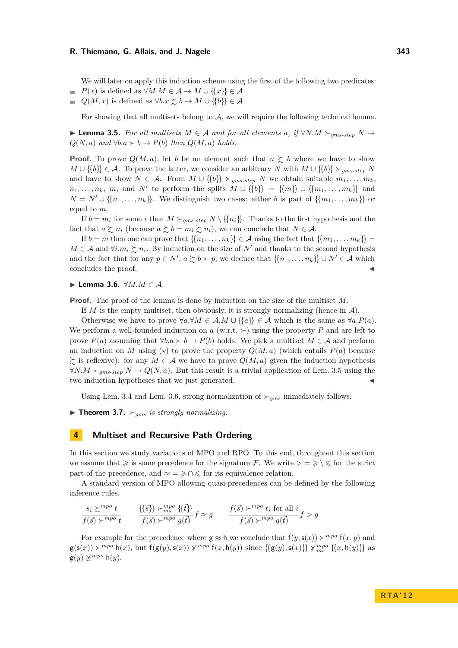We will later on apply this induction scheme using the first of the following two predicates:

 $P(x)$  is defined as  $\forall M.M \in \mathcal{A} \rightarrow M \cup \{\{x\}\}\in \mathcal{A}$ 

 $Q(M, x)$  is defined as  $\forall b. x \succsim b \rightarrow M \cup \{\{b\}\}\in \mathcal{A}$  $\rightarrow$ 

For showing that all multisets belong to  $A$ , we will require the following technical lemma.

<span id="page-4-1"></span>**► Lemma 3.5.** For all multisets  $M \in \mathcal{A}$  and for all elements a, if  $\forall N.M \succ_{ams\text{-step}} N \rightarrow$  $Q(N, a)$  *and*  $\forall b.a \succ b \rightarrow P(b)$  *then*  $Q(M, a)$  *holds.* 

**Proof.** To prove  $Q(M, a)$ , let b be an element such that  $a \succeq b$  where we have to show  $M \cup \{\{b\}\}\in \mathcal{A}$ . To prove the latter, we consider an arbitrary N with  $M \cup \{\{b\}\}\succeq_{ams\text{-step}} N$ and have to show  $N \in \mathcal{A}$ . From  $M \cup \{\{b\}\}\succ_{qms\text{-}step} N$  we obtain suitable  $m_1, \ldots, m_k$ ,  $n_1, \ldots, n_k$ , m, and N' to perform the splits  $M \cup \{\{b\}\} = \{\{m\}\} \cup \{\{m_1, \ldots, m_k\}\}\$ and  $N = N' \cup \{\{n_1, \ldots, n_k\}\}\.$  We distinguish two cases: either b is part of  $\{\{m_1, \ldots, m_k\}\}\.$ equal to m.

If  $b = m_i$  for some i then  $M \succ_{gms\text{-}step} N \setminus \{\{n_i\}\}\)$ . Thanks to the first hypothesis and the fact that  $a \succsim n_i$  (because  $a \succsim b = m_i \succsim n_i$ ), we can conclude that  $N \in \mathcal{A}$ .

If  $b = m$  then one can prove that  $\{\{n_1, \ldots, n_k\}\}\in \mathcal{A}$  using the fact that  $\{\{m_1, \ldots, m_k\}\}$  $M \in \mathcal{A}$  and  $\forall i.m_i \succsim n_i$ . By induction on the size of N' and thanks to the second hypothesis and the fact that for any  $p \in N'$ ,  $a \succsim b \succ p$ , we deduce that  $\{\{n_1, \ldots, n_k\}\} \cup N' \in \mathcal{A}$  which concludes the proof.

<span id="page-4-2"></span> $▶$  **Lemma 3.6.**  $\forall M.M \in \mathcal{A}$ .

**Proof.** The proof of the lemma is done by induction on the size of the multiset M.

If M is the empty multiset, then obviously, it is strongly normalizing (hence in  $\mathcal{A}$ ).

Otherwise we have to prove  $\forall a.\forall M \in \mathcal{A}.M \cup \{\{a\}\}\in \mathcal{A}$  which is the same as  $\forall a.P(a)$ . We perform a well-founded induction on a (w.r.t.  $\succ$ ) using the property P and are left to prove  $P(a)$  assuming that  $\forall b.a \succ b \rightarrow P(b)$  holds. We pick a multiset  $M \in \mathcal{A}$  and perform an induction on M using ( $\star$ ) to prove the property  $Q(M, a)$  (which entails  $P(a)$  because  $\succsim$  is reflexive): for any  $M \in \mathcal{A}$  we have to prove  $Q(M, a)$  given the induction hypothesis  $\forall N.M \succ_{\textit{ams-step}} N \rightarrow Q(N, a)$ . But this result is a trivial application of Lem. [3.5](#page-4-1) using the two induction hypotheses that we just generated.

Using Lem. [3.4](#page-3-2) and Lem. [3.6,](#page-4-2) strong normalization of  $\succ_{ams}$  immediately follows.

 $\blacktriangleright$  **Theorem 3.7.**  $\succ_{qms}$  *is strongly normalizing.* 

## <span id="page-4-0"></span>**4 Multiset and Recursive Path Ordering**

In this section we study variations of MPO and RPO. To this end, throughout this section we assume that  $\geqslant$  is some precedence for the signature F. We write  $\geqslant \geqslant \leqslant$  for the strict part of the precedence, and  $\approx$  =  $\geq$   $\cap$   $\leq$  for its equivalence relation.

A standard version of MPO allowing quasi-precedences can be defined by the following inference rules.

$$
\frac{s_i \succeq^{mpo} t}{f(\vec{s}) \succ^{mpo} t} \qquad \frac{\{\{\vec{s}\}\} \succ^{mpo}_{ms} \{\{\vec{t}\}\}}{f(\vec{s}) \succ^{mpo} g(\vec{t})} f \approx g \qquad \frac{f(\vec{s}) \succ^{mpo} t_i \text{ for all } i}{f(\vec{s}) \succ^{mpo} g(\vec{t})} f > g
$$

For example for the precedence where  $g \approx h$  we conclude that  $f(y, s(x)) \succ^{mpo} f(x, y)$  and  $g(s(x)) \succ^{mpo} h(x)$ , but  $f(g(y), s(x)) \not\sim^{mpo} f(x, h(y))$  since  $\{\{g(y), s(x)\}\}\not\sim^{mpo}_{ms} \{\{x, h(y)\}\}\$ as  $g(y) \not\geq^{mpo} h(y).$ 

**R TA ' 1 2**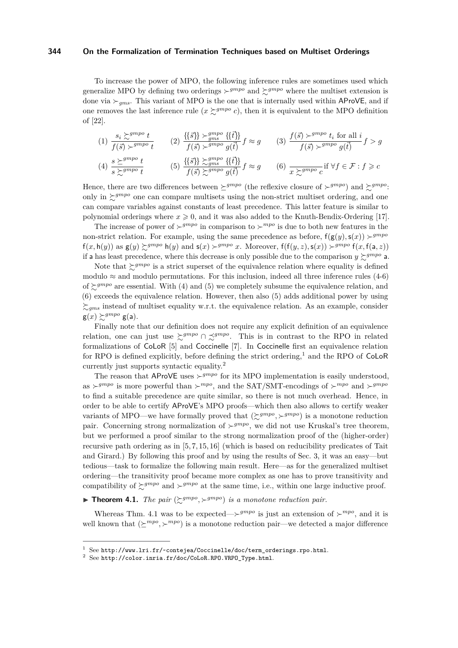To increase the power of MPO, the following inference rules are sometimes used which generalize MPO by defining two orderings  $\succ^{gmpo}$  and  $\succsim^{gmpo}$  where the multiset extension is done via  $\succ_{ams}$ . This variant of MPO is the one that is internally used within AProVE, and if one removes the last inference rule  $(x \succcurlyeq^{gmpo} c)$ , then it is equivalent to the MPO definition of [\[22\]](#page-15-5).

$$
(1) \frac{s_i \sum^{gmpo} t}{f(\vec{s}) \succ^{gmpo} t} \qquad (2) \frac{\{\{\vec{s}\}\} \succ^{gmpo}_{gms} \{\{\vec{t}\}\}}{f(\vec{s}) \succ^{gmpo} g(\vec{t})} f \approx g \qquad (3) \frac{f(\vec{s}) \succ^{gmpo} t_i \text{ for all } i}{f(\vec{s}) \succ^{gmpo} g(\vec{t})} f > g
$$

$$
(4) \frac{s \succeq^{gmpo} t}{s \succeq^{gmpo} t} \qquad (5) \frac{\{\{\vec{s}\}\} \succeq^{gmpo}_{gms} \{\{\vec{t}\}\}}{f(\vec{s}) \succeq^{gmpo}_{g} g(\vec{t})} f \approx g \qquad (6) \frac{\succeq^{gmpo}_{x \succeq^{gmpo} c} \text{if } \forall f \in \mathcal{F} : f \geq c
$$

Hence, there are two differences between  $\succeq^{grnpo}$  (the reflexive closure of  $\succeq^{grnpo}$ ) and  $\succeq^{grnpo}$ : only in  $\zeta^{gmpo}$  one can compare multisets using the non-strict multiset ordering, and one can compare variables against constants of least precedence. This latter feature is similar to polynomial orderings where  $x \ge 0$ , and it was also added to the Knuth-Bendix-Ordering [\[17\]](#page-15-8).

The increase of power of  $\succ^{gmpo}$  in comparison to  $\succ^{mpo}$  is due to both new features in the non-strict relation. For example, using the same precedence as before,  $f(g(y), s(x)) > g^{mpo}$  $f(x, h(y))$  as  $g(y) \geq g^{mpp} h(y)$  and  $s(x) \geq g^{mpp} x$ . Moreover,  $f(f(y, z), s(x)) \geq g^{mpp} f(x, f(a, z))$ if a has least precedence, where this decrease is only possible due to the comparison  $y \succeq gmpo$  a.

Note that  $\sum_{n=1}^{\infty} g^{mpo}$  is a strict superset of the equivalence relation where equality is defined modulo  $\approx$  and modulo permutations. For this inclusion, indeed all three inference rules (4-6) of  $\sum_{n=1}^{\infty} g^{mpo}$  are essential. With (4) and (5) we completely subsume the equivalence relation, and (6) exceeds the equivalence relation. However, then also (5) adds additional power by using  $\sum_{qms}$  instead of multiset equality w.r.t. the equivalence relation. As an example, consider  $g(x) \succsim^{grnpo} g(a)$ .

Finally note that our definition does not require any explicit definition of an equivalence relation, one can just use  $\succcurlyeq^{gmpo} \cap \preceq^{gmpo}$ . This is in contrast to the RPO in related formalizations of CoLoR [\[5\]](#page-14-2) and Coccinelle [\[7\]](#page-15-15). In Coccinelle first an equivalence relation for RPO is defined explicitly, before defining the strict ordering,<sup>1</sup> and the RPO of CoLoR currently just supports syntactic equality.<sup>2</sup>

The reason that AProVE uses  $\succ^{gmpo}$  for its MPO implementation is easily understood, as  $\succ^{gmpo}$  is more powerful than  $\succ^{mpo}$ , and the SAT/SMT-encodings of  $\succ^{mpo}$  and  $\succ^{gmpo}$ to find a suitable precedence are quite similar, so there is not much overhead. Hence, in order to be able to certify AProVE's MPO proofs—which then also allows to certify weaker variants of MPO—we have formally proved that  $(\succsim^{gmpo}, \succ^{gmpo})$  is a monotone reduction pair. Concerning strong normalization of  $\succ^{gmpo}$ , we did not use Kruskal's tree theorem, but we performed a proof similar to the strong normalization proof of the (higher-order) recursive path ordering as in [\[5,](#page-14-2) [7,](#page-15-15) [15,](#page-15-16) [16\]](#page-15-13) (which is based on reducibility predicates of Tait and Girard.) By following this proof and by using the results of Sec. [3,](#page-2-0) it was an easy—but tedious—task to formalize the following main result. Here—as for the generalized multiset ordering—the transitivity proof became more complex as one has to prove transitivity and compatibility of  $\sum g^{mpo}$  and  $\rho^{mpo}$  at the same time, i.e., within one large inductive proof.

<span id="page-5-0"></span>**Theorem 4.1.** The pair  $(\succsim^{gmpo}, \succsim^{gmpo})$  is a monotone reduction pair.

Whereas Thm. [4.1](#page-5-0) was to be expected— $\succ^{gmpo}$  is just an extension of  $\succ^{mpo}$ , and it is well known that  $(\succeq^{mpo}, \succeq^{mpo})$  is a monotone reduction pair—we detected a major difference

<sup>1</sup> See [http://www.lri.fr/~contejea/Coccinelle/doc/term\\_orderings.rpo.html](http://www.lri.fr/~contejea/Coccinelle/doc/term_orderings.rpo.html).

 $2$  See [http://color.inria.fr/doc/CoLoR.RPO.VRPO\\_Type.html](http://color.inria.fr/doc/CoLoR.RPO.VRPO_Type.html).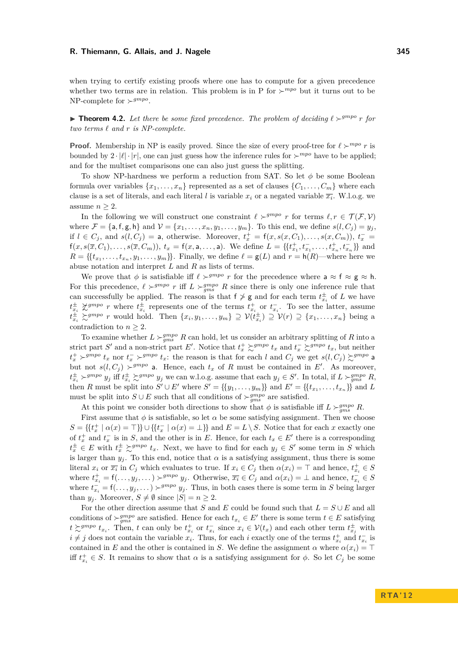when trying to certify existing proofs where one has to compute for a given precedence whether two terms are in relation. This problem is in P for  $\succ^{mpo}$  but it turns out to be NP-complete for  $\succ^{gmpo}$ .

<span id="page-6-0"></span>**Influence 1.2.** Let there be some fixed precedence. The problem of deciding  $\ell >^{gmpo} r$  for  $two$   $terms$   $\ell$   $and$   $r$   $is$   $NP-complete$ .

**Proof.** Membership in NP is easily proved. Since the size of every proof-tree for  $\ell \succ^{mpo} r$  is bounded by  $2 \cdot |\ell| \cdot |r|$ , one can just guess how the inference rules for  $\succ^{mpo}$  have to be applied; and for the multiset comparisons one can also just guess the splitting.

To show NP-hardness we perform a reduction from SAT. So let  $\phi$  be some Boolean formula over variables  $\{x_1, \ldots, x_n\}$  represented as a set of clauses  $\{C_1, \ldots, C_m\}$  where each clause is a set of literals, and each literal l is variable  $x_i$  or a negated variable  $\overline{x_i}$ . W.l.o.g. we assume  $n \geq 2$ .

In the following we will construct one constraint  $\ell \succ^{grmpo} r$  for terms  $\ell, r \in \mathcal{T}(\mathcal{F}, \mathcal{V})$ where  $\mathcal{F} = \{a, f, g, h\}$  and  $\mathcal{V} = \{x_1, \ldots, x_n, y_1, \ldots, y_m\}$ . To this end, we define  $s(l, C_i) = y_i$ , if  $l \in C_j$ , and  $s(l, C_j) = a$ , otherwise. Moreover,  $t_x^+ = f(x, s(x, C_1), \ldots, s(x, C_m))$ ,  $t_x^- =$  $f(x, s(\overline{x}, C_1), \ldots, s(\overline{x}, C_m)), t_x = f(x, a, \ldots, a)$ . We define  $L = \{\{t_{x_1}^+, t_{x_1}^-, \ldots, t_{x_n}^+, t_{x_n}^-\}\}\$  and  $R = \{\{t_{x_1}, \ldots, t_{x_n}, y_1, \ldots, y_m\}\}\.$  Finally, we define  $\ell = g(L)$  and  $r = h(R)$ —where here we abuse notation and interpret  $L$  and  $R$  as lists of terms.

We prove that  $\phi$  is satisfiable iff  $\ell \succ^{gmpo} r$  for the precedence where  $a \approx f \approx g \approx h$ . For this precedence,  $\ell >^{gmpo} r$  iff  $L >^{gmpo} g$  R since there is only one inference rule that can successfully be applied. The reason is that  $f \ge g$  and for each term  $t_{x_i}^{\pm}$  of L we have  $t_{x_i}^{\pm} \not\geq g^{mpo}$  *r* where  $t_{x_i}^{\pm}$  represents one of the terms  $t_{x_i}^{\pm}$  or  $t_{x_i}^-$ . To see the latter, assume  $t_{x_i}^{\pm} \succsim^{gmpo} r$  would hold. Then  $\{x_i, y_1, \ldots, y_m\} \supseteq \mathcal{V}(t_{x_i}^{\pm}) \supseteq \mathcal{V}(r) \supseteq \{x_1, \ldots, x_n\}$  being a contradiction to  $n \geq 2$ .

To examine whether  $L \succ_{gms} g^{mpo} R$  can hold, let us consider an arbitrary splitting of R into a strict part S' and a non-strict part E'. Notice that  $t_x^+ \gtrsim^{gmpo} t_x$  and  $t_x^- \gtrsim^{gmpo} t_x$ , but neither  $t_x^+ \succ^{gmpo} t_x$  nor  $t_x^- \succ^{gmpo} t_x$ : the reason is that for each l and  $C_j$  we get  $s(l, C_j) \succsim^{gmpo}$  a but not  $s(l, C_j) \succ^{grnpo}$  a. Hence, each  $t_x$  of R must be contained in E'. As moreover,  $t_{x_i}^{\pm} \succ^{gmpo} y_j$  iff  $t_{x_i}^{\pm} \succsim^{gmpo} y_j$  we can w.l.o.g. assume that each  $y_j \in S'$ . In total, if  $L \succ_{gms}^{gmpo} R$ , then R must be split into  $S' \cup E'$  where  $S' = \{\{y_1, \ldots, y_m\}\}\$  and  $E' = \{\{t_{x_1}, \ldots, t_{x_n}\}\}\$  and L must be split into  $S \cup E$  such that all conditions of  $\succ_{gms}^{gmpo}$  are satisfied.

At this point we consider both directions to show that  $\phi$  is satisfiable iff  $L \succ_{gms}^{gmpo} R$ .

First assume that  $\phi$  is satisfiable, so let  $\alpha$  be some satisfying assignment. Then we choose  $S = \{ \{t_x^+ \mid \alpha(x) = \top \} \} \cup \{ \{t_x^- \mid \alpha(x) = \bot \} \}$  and  $E = L \setminus S$ . Notice that for each x exactly one of  $t_x^+$  and  $t_x^-$  is in S, and the other is in E. Hence, for each  $t_x \in E'$  there is a corresponding  $t_x^{\pm} \in E$  with  $t_x^{\pm} \succeq^{gmpo} t_x$ . Next, we have to find for each  $y_j \in S'$  some term in S which is larger than  $y_j$ . To this end, notice that  $\alpha$  is a satisfying assignment, thus there is some literal  $x_i$  or  $\overline{x_i}$  in  $C_j$  which evaluates to true. If  $x_i \in C_j$  then  $\alpha(x_i) = \top$  and hence,  $t_{x_i}^+ \in S$ where  $t_{x_i}^+ = \mathsf{f}(\ldots, y_j, \ldots) \succ^{gmpo} y_j$ . Otherwise,  $\overline{x_i} \in C_j$  and  $\alpha(x_i) = \bot$  and hence,  $t_{x_i}^- \in S$ where  $t_{x_i}^- = \mathsf{f}(\ldots, y_j, \ldots) \succ^{gmpo} y_j$ . Thus, in both cases there is some term in S being larger than  $y_j$ . Moreover,  $S \neq \emptyset$  since  $|S| = n \geq 2$ .

For the other direction assume that S and E could be found such that  $L = S \cup E$  and all conditions of  $\succ_{gms}^{gmpo}$  are satisfied. Hence for each  $t_{x_i} \in E'$  there is some term  $t \in E$  satisfying  $t \gtrsim g^{mpo} t_{x_i}$ . Then, t can only be  $t_{x_i}^+$  or  $t_{x_i}^-$  since  $x_i \in \mathcal{V}(t_x)$  and each other term  $t_{x_i}^{\pm}$  with  $i \neq j$  does not contain the variable  $x_i$ . Thus, for each i exactly one of the terms  $t_{x_i}^+$  and  $t_{x_i}^-$  is contained in E and the other is contained in S. We define the assignment  $\alpha$  where  $\alpha(x_i) = \top$ iff  $t_{x_i}^+ \in S$ . It remains to show that  $\alpha$  is a satisfying assignment for  $\phi$ . So let  $C_j$  be some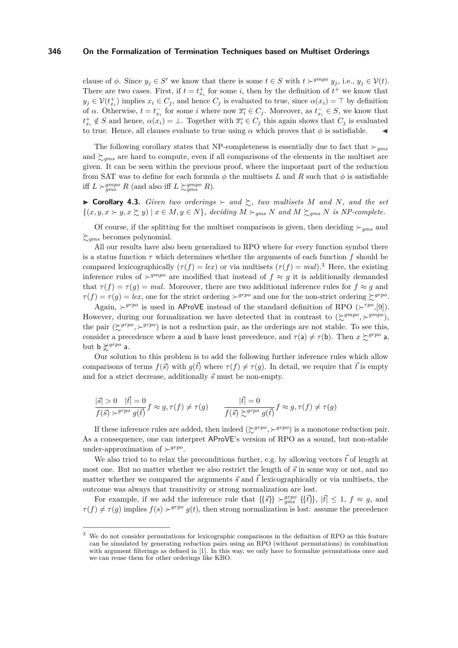clause of  $\phi$ . Since  $y_j \in S'$  we know that there is some  $t \in S$  with  $t \succ^{gmpo} y_j$ , i.e.,  $y_j \in V(t)$ . There are two cases. First, if  $t = t_{x_i}^+$  for some i, then by the definition of  $t^+$  we know that  $y_j \in \mathcal{V}(t_{x_i}^+)$  implies  $x_i \in C_j$ , and hence  $C_j$  is evaluated to true, since  $\alpha(x_i) = \top$  by definition of  $\alpha$ . Otherwise,  $t = t_{x_i}^-$  for some i where now  $\overline{x_i} \in C_j$ . Moreover, as  $t_{x_i}^- \in S$ , we know that  $t_{x_i}^+ \notin S$  and hence,  $\alpha(x_i) = \bot$ . Together with  $\overline{x_i} \in C_j$  this again shows that  $C_j$  is evaluated to true. Hence, all clauses evaluate to true using  $\alpha$  which proves that  $\phi$  is satisfiable.

The following corollary states that NP-completeness is essentially due to fact that  $\succ_{qms}$ and  $\gtrsim_{qms}$  are hard to compute, even if all comparisons of the elements in the multiset are given. It can be seen within the previous proof, where the important part of the reduction from SAT was to define for each formula  $\phi$  the multisets L and R such that  $\phi$  is satisfiable iff  $L \succ_{gms}^{gmpo} R$  (and also iff  $L \succ_{gms}^{gmpo} R$ ).

 $\triangleright$  **Corollary 4.3.** *Given two orderings*  $\succ$  *and*  $\succsim$ *, two multisets* M *and* N, *and the set*  $\{(x, y, x \succ y, x \succ z, y) \mid x \in M, y \in N\}$ , deciding  $M \succ_{gms} N$  and  $M \succ_{gms} N$  is NP-complete.

Of course, if the splitting for the multiset comparison is given, then deciding  $\succ_{qms}$  and  $\sum_{gms}$  becomes polynomial.

All our results have also been generalized to RPO where for every function symbol there is a status function  $\tau$  which determines whether the arguments of each function f should be compared lexicographically  $(\tau(f) = lex)$  or via multisets  $(\tau(f) = mul)$ .<sup>3</sup> Here, the existing inference rules of  $\succ^{gmpo}$  are modified that instead of  $f \approx g$  it is additionally demanded that  $\tau(f) = \tau(g) = mul$ . Moreover, there are two additional inference rules for  $f \approx g$  and  $\tau(f) = \tau(g) = lex$ , one for the strict ordering  $\succ^{grpo}$  and one for the non-strict ordering  $\succsim^{grpo}$ .

Again,  $\succ^{grpo}$  is used in AProVE instead of the standard definition of RPO ( $\succ^{rpo}$ , [\[9\]](#page-15-2)). However, during our formalization we have detected that in contrast to  $(\succeq^{gmpo}, \succeq^{gmpo})$ , the pair  $(\gtrsim^{grpo}, \gtrsim^{grpo})$  is not a reduction pair, as the orderings are not stable. To see this, consider a precedence where a and b have least precedence, and  $\tau(a) \neq \tau(b)$ . Then  $x \succcurlyeq^{grpo} a$ , but  $b \nless^{grpo} a$ .

Our solution to this problem is to add the following further inference rules which allow comparisons of terms  $f(\vec{s})$  with  $q(\vec{t})$  where  $\tau(f) \neq \tau(q)$ . In detail, we require that  $\vec{t}$  is empty and for a strict decrease, additionally  $\vec{s}$  must be non-empty.

$$
\frac{|\vec{s}| > 0 \quad |\vec{t}| = 0}{f(\vec{s}) \succ^{g\,p o} g(\vec{t})} f \approx g, \tau(f) \neq \tau(g) \qquad \frac{|\vec{t}| = 0}{f(\vec{s}) \succsim^{g\,p o} g(\vec{t})} f \approx g, \tau(f) \neq \tau(g)
$$

If these inference rules are added, then indeed  $(\succsim^{grpo}, \succ^{grpo})$  is a monotone reduction pair. As a consequence, one can interpret AProVE's version of RPO as a sound, but non-stable under-approximation of  $\succ^{grpo}$ .

We also tried to to relax the preconditions further, e.g. by allowing vectors  $\vec{t}$  of length at most one. But no matter whether we also restrict the length of  $\vec{s}$  in some way or not, and no matter whether we compared the arguments  $\vec{s}$  and  $\vec{t}$  lexicographically or via multisets, the outcome was always that transitivity or strong normalization are lost.

For example, if we add the inference rule that  $\{\{\vec{s}\}\}\succ_{gms}^{g rpo} \{\{\vec{t}\}\}\,$ ,  $|\vec{t}| \leq 1$ ,  $f \approx g$ , and  $\tau(f) \neq \tau(g)$  implies  $f(s) \succ^{grpo} g(t)$ , then strong normalization is lost: assume the precedence

We do not consider permutations for lexicographic comparisons in the definition of RPO as this feature can be simulated by generating reduction pairs using an RPO (without permutations) in combination with argument filterings as defined in [\[1\]](#page-14-3). In this way, we only have to formalize permutations once and we can reuse them for other orderings like KBO.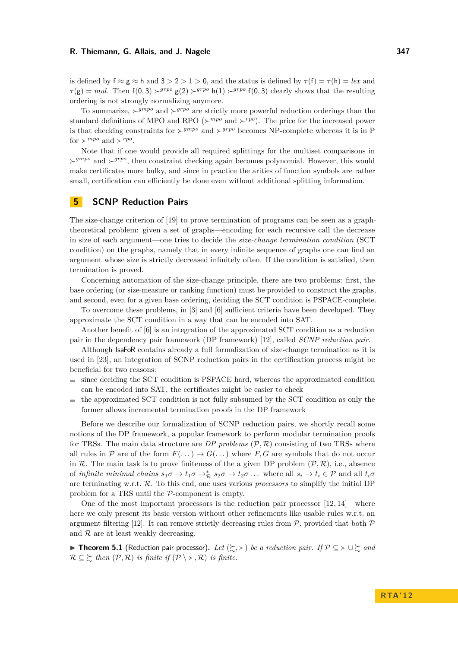is defined by  $f \approx g \approx h$  and  $3 > 2 > 1 > 0$ , and the status is defined by  $\tau(f) = \tau(h) = lex$  and  $\tau(\mathbf{g}) = mul$ . Then  $f(0, 3) \succ^{grpo} g(2) \succ^{grpo} h(1) \succ^{grpo} f(0, 3)$  clearly shows that the resulting ordering is not strongly normalizing anymore.

To summarize,  $\succ^{gmpo}$  and  $\succ^{grpo}$  are strictly more powerful reduction orderings than the standard definitions of MPO and RPO ( $\succ^{mpo}$  and  $\succ^{rpo}$ ). The price for the increased power is that checking constraints for  $\succ^{gmpo}$  and  $\succ^{grpo}$  becomes NP-complete whereas it is in P for  $\succ^{mpo}$  and  $\succ^{rpo}$ .

Note that if one would provide all required splittings for the multiset comparisons in  $\rightarrow^{grpo}$  and  $\rightarrow^{grpo}$ , then constraint checking again becomes polynomial. However, this would make certificates more bulky, and since in practice the arities of function symbols are rather small, certification can efficiently be done even without additional splitting information.

# <span id="page-8-0"></span>**5 SCNP Reduction Pairs**

The size-change criterion of [\[19\]](#page-15-4) to prove termination of programs can be seen as a graphtheoretical problem: given a set of graphs—encoding for each recursive call the decrease in size of each argument—one tries to decide the *size-change termination condition* (SCT condition) on the graphs, namely that in every infinite sequence of graphs one can find an argument whose size is strictly decreased infinitely often. If the condition is satisfied, then termination is proved.

Concerning automation of the size-change principle, there are two problems: first, the base ordering (or size-measure or ranking function) must be provided to construct the graphs, and second, even for a given base ordering, deciding the SCT condition is PSPACE-complete.

To overcome these problems, in [\[3\]](#page-14-0) and [\[6\]](#page-15-3) sufficient criteria have been developed. They approximate the SCT condition in a way that can be encoded into SAT.

Another benefit of [\[6\]](#page-15-3) is an integration of the approximated SCT condition as a reduction pair in the dependency pair framework (DP framework) [\[12\]](#page-15-17), called *SCNP reduction pair*.

Although IsaFoR contains already a full formalization of size-change termination as it is used in [\[23\]](#page-15-18), an integration of SCNP reduction pairs in the certification process might be beneficial for two reasons:

- since deciding the SCT condition is PSPACE hard, whereas the approximated condition  $\blacksquare$ can be encoded into SAT, the certificates might be easier to check
- the approximated SCT condition is not fully subsumed by the SCT condition as only the m. former allows incremental termination proofs in the DP framework

Before we describe our formalization of SCNP reduction pairs, we shortly recall some notions of the DP framework, a popular framework to perform modular termination proofs for TRSs. The main data structure are  $DP$  problems  $(\mathcal{P}, \mathcal{R})$  consisting of two TRSs where all rules in P are of the form  $F(\ldots) \to G(\ldots)$  where F, G are symbols that do not occur in R. The main task is to prove finiteness of the a given DP problem  $(\mathcal{P}, \mathcal{R})$ , i.e., absence of *infinite minimal chains*  $s_1\sigma \to t_1\sigma \to^*_{\mathcal{R}} s_2\sigma \to t_2\sigma \dots$  where all  $s_i \to t_i \in \mathcal{P}$  and all  $t_i\sigma$ are terminating w.r.t. R. To this end, one uses various *processors* to simplify the initial DP problem for a TRS until the P-component is empty.

One of the most important processors is the reduction pair processor [\[12,](#page-15-17) [14\]](#page-15-19)—where here we only present its basic version without other refinements like usable rules w.r.t. an argument filtering [\[12\]](#page-15-17). It can remove strictly decreasing rules from  $P$ , provided that both  $P$ and  $R$  are at least weakly decreasing.

<span id="page-8-1"></span>**► Theorem 5.1** (Reduction pair processor). Let  $(\succsim, \succ)$  be a reduction pair. If  $\mathcal{P} \subseteq \succ \cup \succsim$  and  $\mathcal{R} \subseteq \Sigma$  *then*  $(\mathcal{P}, \mathcal{R})$  *is finite if*  $(\mathcal{P} \setminus \Sigma, \mathcal{R})$  *is finite.*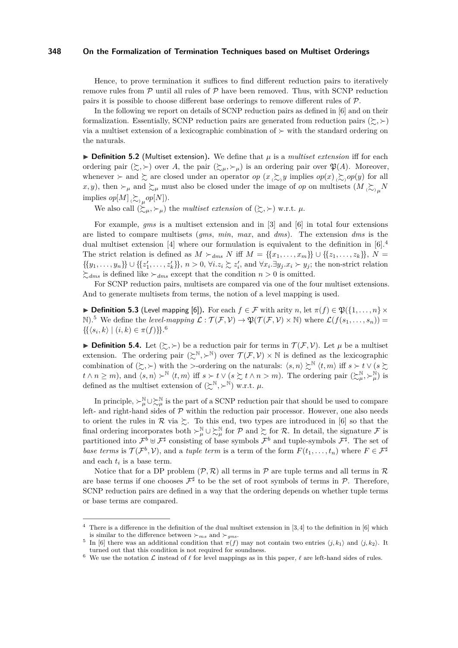Hence, to prove termination it suffices to find different reduction pairs to iteratively remove rules from  $\mathcal P$  until all rules of  $\mathcal P$  have been removed. Thus, with SCNP reduction pairs it is possible to choose different base orderings to remove different rules of P.

In the following we report on details of SCNP reduction pairs as defined in [\[6\]](#page-15-3) and on their formalization. Essentially, SCNP reduction pairs are generated from reduction pairs  $(\succsim, \succ)$ via a multiset extension of a lexicographic combination of  $\succ$  with the standard ordering on the naturals.

 $\triangleright$  **Definition 5.2** (Multiset extension). We define that  $\mu$  is a *multiset extension* iff for each ordering pair  $(\succsim, \succ)$  over A, the pair  $(\succsim,\succ_\mu)$  is an ordering pair over  $\mathfrak{P}(A)$ . Moreover, whenever  $\succ$  and  $\succsim$  are closed under an operator op  $(x \succcurlyeq_{\infty} y$  implies  $op(x) \succcurlyeq_{\infty} op(y)$  for all x, y), then  $\succ_\mu$  and  $\succsim_\mu$  must also be closed under the image of *op* on multisets  $(M \gtrsim_\mu N)$ implies  $op[M] \sum_{(\sim)\mu} op[N]$ .

We also call  $(\succcurlyeq_{\mu}, \succ_{\mu})$  the *multiset extension* of  $(\succcurlyeq, \succ)$  w.r.t.  $\mu$ .

For example, *gms* is a multiset extension and in [\[3\]](#page-14-0) and [\[6\]](#page-15-3) in total four extensions are listed to compare multisets (*gms*, *min*, *max*, and *dms*). The extension *dms* is the dual multiset extension [\[4\]](#page-14-4) where our formulation is equivalent to the definition in  $[6]$ .<sup>4</sup> The strict relation is defined as  $M \succ_{dms} N$  iff  $M = \{\{x_1, \ldots, x_m\}\}\cup \{\{z_1, \ldots, z_k\}\}\,$ ,  $N =$  $\{\{y_1,\ldots,y_n\}\}\cup\{\{z'_1,\ldots,z'_k\}\}\,$ ,  $n>0$ ,  $\forall i.z_i\succsim z'_i$ , and  $\forall x_i.\exists y_j.x_i\succ y_j$ ; the non-strict relation  $\sum_{dms}$  is defined like  $\succ_{dms}$  except that the condition  $n > 0$  is omitted.

For SCNP reduction pairs, multisets are compared via one of the four multiset extensions. And to generate multisets from terms, the notion of a level mapping is used.

**► Definition 5.3** (Level mapping [\[6\]](#page-15-3)). For each  $f \in \mathcal{F}$  with arity n, let  $\pi(f) \in \mathfrak{P}(\{1,\ldots,n\} \times$ N).<sup>5</sup> We define the *level-mapping*  $\mathcal{L} : \mathcal{T}(\mathcal{F}, \mathcal{V}) \to \mathfrak{P}(\mathcal{T}(\mathcal{F}, \mathcal{V}) \times \mathbb{N})$  where  $\mathcal{L}(f(s_1, \ldots, s_n)) =$  $\{ {\langle s_i, k \rangle \mid (i, k) \in \pi(f) \} \}$ .<sup>6</sup>

**Definition 5.4.** Let  $(\succsim, \succ)$  be a reduction pair for terms in  $\mathcal{T}(\mathcal{F}, \mathcal{V})$ . Let  $\mu$  be a multiset extension. The ordering pair  $(\succcurlyeq^{\mathbb{N}}, \succ^{\mathbb{N}})$  over  $\mathcal{T}(\mathcal{F}, \mathcal{V}) \times \mathbb{N}$  is defined as the lexicographic combination of  $(\succsim, \succ)$  with the >-ordering on the naturals:  $\langle s, n \rangle \succsim^{\mathbb{N}} \langle t, m \rangle$  iff  $s \succ t \vee (s \succsim$  $t \wedge n \geq m$ , and  $\langle s, n \rangle \succ^{\mathbb{N}} \langle t, m \rangle$  iff  $s \succ t \vee (s \succsim t \wedge n > m)$ . The ordering pair  $(\succsim^{\mathbb{N}}_{\mu}, \succ^{\mathbb{N}}_{\mu})$  is defined as the multiset extension of  $(\succcurlyeq^{\mathbb{N}}, \succ^{\mathbb{N}})$  w.r.t.  $\mu$ .

In principle,  $\succ^{\mathbb{N}}_{\mu}\cup \succsim^{\mathbb{N}}_{\mu}$  is the part of a SCNP reduction pair that should be used to compare left- and right-hand sides of  $P$  within the reduction pair processor. However, one also needs to orient the rules in  $\mathcal R$  via  $\succsim$ . To this end, two types are introduced in [\[6\]](#page-15-3) so that the final ordering incorporates both  $\succ^{\mathbb{N}}_{\mu} \cup \succ^{\mathbb{N}}_{\mu}$  for  $\mathcal{P}$  and  $\succsim$  for  $\mathcal{R}$ . In detail, the signature  $\mathcal{F}$  is partitioned into  $\mathcal{F}^b \cup \mathcal{F}^{\sharp}$  consisting of base symbols  $\mathcal{F}^b$  and tuple-symbols  $\mathcal{F}^{\sharp}$ . The set of *base terms* is  $\mathcal{T}(\mathcal{F}^b, \mathcal{V})$ , and a *tuple term* is a term of the form  $F(t_1, \ldots, t_n)$  where  $F \in \mathcal{F}^{\sharp}$ and each  $t_i$  is a base term.

Notice that for a DP problem  $(\mathcal{P}, \mathcal{R})$  all terms in  $\mathcal{P}$  are tuple terms and all terms in  $\mathcal{R}$ are base terms if one chooses  $\mathcal{F}^{\sharp}$  to be the set of root symbols of terms in  $\mathcal{P}$ . Therefore, SCNP reduction pairs are defined in a way that the ordering depends on whether tuple terms or base terms are compared.

There is a difference in the definition of the dual multiset extension in  $[3,4]$  $[3,4]$  to the definition in  $[6]$  which is similar to the difference between  $\succ_{ms}$  and  $\succ_{qms}$ .

<sup>5</sup> In [\[6\]](#page-15-3) there was an additional condition that  $\pi(f)$  may not contain two entries  $\langle j, k_1 \rangle$  and  $\langle j, k_2 \rangle$ . It turned out that this condition is not required for soundness.

We use the notation  $\mathcal L$  instead of  $\ell$  for level mappings as in this paper,  $\ell$  are left-hand sides of rules.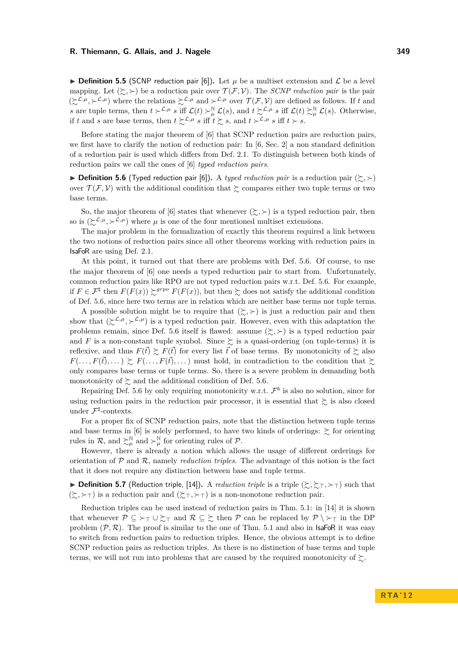**Definition 5.5** (SCNP reduction pair [\[6\]](#page-15-3)). Let  $\mu$  be a multiset extension and  $\mathcal{L}$  be a level mapping. Let  $(\succsim, \succ)$  be a reduction pair over  $\mathcal{T}(\mathcal{F}, \mathcal{V})$ . The *SCNP reduction pair* is the pair  $(\succsim^{L,\mu}, \succ^{L,\mu})$  where the relations  $\succsim^{L,\mu}$  and  $\succ^{L,\mu}$  over  $\mathcal{T}(\mathcal{F}, \mathcal{V})$  are defined as follows. If t and s are tuple terms, then  $t \succ^{\mathcal{L},\mu} s$  iff  $\mathcal{L}(t) \succ^{\mathbb{N}}_{\mu} \mathcal{L}(s)$ , and  $t \succsim^{\mathcal{L},\mu} s$  iff  $\mathcal{L}(t) \succsim^{\mathbb{N}}_{\mu} \mathcal{L}(s)$ . Otherwise, if t and s are base terms, then  $t \succsim^{\mathcal{L}, \mu} s$  iff  $t \succsim s$ , and  $t \succ^{\mathcal{L}, \mu} s$  iff  $t \succ s$ .

Before stating the major theorem of [\[6\]](#page-15-3) that SCNP reduction pairs are reduction pairs, we first have to clarify the notion of reduction pair: In  $[6, \text{Sec. 2}]$  $[6, \text{Sec. 2}]$  a non standard definition of a reduction pair is used which differs from Def. [2.1.](#page-2-6) To distinguish between both kinds of reduction pairs we call the ones of [\[6\]](#page-15-3) *typed reduction pairs*.

<span id="page-10-0"></span>**Definition 5.6** (Typed reduction pair [\[6\]](#page-15-3)). A *typed reduction pair* is a reduction pair  $(\succsim, \succ)$ over  $\mathcal{T}(\mathcal{F}, \mathcal{V})$  with the additional condition that  $\succsim$  compares either two tuple terms or two base terms.

So, the major theorem of [\[6\]](#page-15-3) states that whenever  $(\succsim, \succ)$  is a typed reduction pair, then so is  $(\succcurlyeq^{\mathcal{L},\mu},\succ^{\mathcal{L},\mu})$  where  $\mu$  is one of the four mentioned multiset extensions.

The major problem in the formalization of exactly this theorem required a link between the two notions of reduction pairs since all other theorems working with reduction pairs in IsaFoR are using Def. [2.1.](#page-2-6)

At this point, it turned out that there are problems with Def. [5.6.](#page-10-0) Of course, to use the major theorem of [\[6\]](#page-15-3) one needs a typed reduction pair to start from. Unfortunately, common reduction pairs like RPO are not typed reduction pairs w.r.t. Def. [5.6.](#page-10-0) For example, if  $F \in \mathcal{F}^{\sharp}$  then  $F(F(x)) \succeq^{grpo} F(F(x))$ , but then  $\succeq$  does not satisfy the additional condition of Def. [5.6,](#page-10-0) since here two terms are in relation which are neither base terms nor tuple terms.

A possible solution might be to require that  $(\succsim, \succ)$  is just a reduction pair and then show that  $(\Sigma^{\mathcal{L},\mu}, \Sigma^{\mathcal{L},\mu})$  is a typed reduction pair. However, even with this adaptation the problems remain, since Def. [5.6](#page-10-0) itself is flawed: assume  $(\succsim, \succ)$  is a typed reduction pair and F is a non-constant tuple symbol. Since  $\gtrsim$  is a quasi-ordering (on tuple-terms) it is reflexive, and thus  $F(\vec{t}) \succeq F(\vec{t})$  for every list  $\vec{t}$  of base terms. By monotonicity of  $\succeq$  also  $F(\ldots, F(\vec{t}), \ldots) \succeq F(\ldots, F(\vec{t}), \ldots)$  must hold, in contradiction to the condition that  $\succeq$ only compares base terms or tuple terms. So, there is a severe problem in demanding both monotonicity of  $\succsim$  and the additional condition of Def. [5.6.](#page-10-0)

Repairing Def. [5.6](#page-10-0) by only requiring monotonicity w.r.t.  $\mathcal{F}^b$  is also no solution, since for using reduction pairs in the reduction pair processor, it is essential that  $\succeq$  is also closed under  $\mathcal{F}^{\sharp}$ -contexts.

For a proper fix of SCNP reduction pairs, note that the distinction between tuple terms and base terms in [\[6\]](#page-15-3) is solely performed, to have two kinds of orderings:  $\gtrsim$  for orienting rules in R, and  $\succ^{\mathbb{N}}_{\mu}$  and  $\succ^{\mathbb{N}}_{\mu}$  for orienting rules of P.

However, there is already a notion which allows the usage of different orderings for orientation of P and R, namely *reduction triples*. The advantage of this notion is the fact that it does not require any distinction between base and tuple terms.

**Definition 5.7** (Reduction triple, [\[14\]](#page-15-19)). A *reduction triple* is a triple  $(\succsim, \succsim_T, \succ_T)$  such that  $(\succsim, \succ$ <sub>T</sub>) is a reduction pair and  $(\succsim, \succ$ <sub>T</sub>) is a non-monotone reduction pair.

Reduction triples can be used instead of reduction pairs in Thm. [5.1:](#page-8-1) in [\[14\]](#page-15-19) it is shown that whenever  $\mathcal{P} \subseteq \rightarrow_{\top} \cup \succsim_{\top}$  and  $\mathcal{R} \subseteq \succsim$  then  $\mathcal{P}$  can be replaced by  $\mathcal{P} \setminus \rightarrow_{\top}$  in the DP problem  $(\mathcal{P}, \mathcal{R})$ . The proof is similar to the one of Thm. [5.1](#page-8-1) and also in **IsaFoR** it was easy to switch from reduction pairs to reduction triples. Hence, the obvious attempt is to define SCNP reduction pairs as reduction triples. As there is no distinction of base terms and tuple terms, we will not run into problems that are caused by the required monotonicity of  $\succsim$ .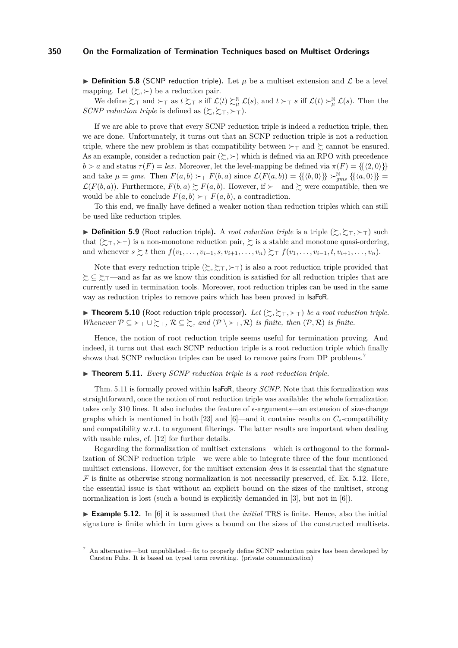**Definition 5.8** (SCNP reduction triple). Let  $\mu$  be a multiset extension and  $\mathcal{L}$  be a level mapping. Let  $(\succsim, \succ)$  be a reduction pair.

We define  $\Sigma_{\top}$  and  $\succ_{\top}$  as  $t \succ_{\top} s$  iff  $\mathcal{L}(t) \succ_{\mu}^{\mathbb{N}} \mathcal{L}(s)$ , and  $t \succ_{\top} s$  iff  $\mathcal{L}(t) \succ_{\mu}^{\mathbb{N}} \mathcal{L}(s)$ . Then the *SCNP reduction triple* is defined as  $(\succsim, \succsim_{\top}, \succ_{\top})$ .

If we are able to prove that every SCNP reduction triple is indeed a reduction triple, then we are done. Unfortunately, it turns out that an SCNP reduction triple is not a reduction triple, where the new problem is that compatibility between  $\succ_\top$  and  $\succsim$  cannot be ensured. As an example, consider a reduction pair  $(\succ, \succ)$  which is defined via an RPO with precedence  $b > a$  and status  $\tau(F) = lex$ . Moreover, let the level-mapping be defined via  $\pi(F) = \{\{\langle 2, 0 \rangle\}\}\$ and take  $\mu = gms$ . Then  $F(a, b) \succ_T F(b, a)$  since  $\mathcal{L}(F(a, b)) = \{ \{ \langle b, 0 \rangle \} \} \succ_{gms}^{\mathbb{N}} \{ \{ \langle a, 0 \rangle \} \} =$  $\mathcal{L}(F(b,a))$ . Furthermore,  $F(b,a) \succsim F(a,b)$ . However, if  $\succ_\top$  and  $\succsim$  were compatible, then we would be able to conclude  $F(a, b) \succ_T F(a, b)$ , a contradiction.

To this end, we finally have defined a weaker notion than reduction triples which can still be used like reduction triples.

**Definition 5.9** (Root reduction triple). A *root reduction triple* is a triple  $(\succsim, \succsim_{\top}, \succsim_{\top})$  such that  $(\succsim_{\top}, \succ_{\top})$  is a non-monotone reduction pair,  $\succsim$  is a stable and monotone quasi-ordering, and whenever  $s \succsim t$  then  $f(v_1, \ldots, v_{i-1}, s, v_{i+1}, \ldots, v_n) \succsim_{\tau} f(v_1, \ldots, v_{i-1}, t, v_{i+1}, \ldots, v_n)$ .

Note that every reduction triple  $(\succsim, \succsim, \succ$ ) is also a root reduction triple provided that  $\zeta$  ⊆  $\zeta$ <sub>T</sub>—and as far as we know this condition is satisfied for all reduction triples that are currently used in termination tools. Moreover, root reduction triples can be used in the same way as reduction triples to remove pairs which has been proved in IsaFoR.

**Fineorem 5.10** (Root reduction triple processor). Let  $(\succsim, \succsim_{\top}, \succq_{\top})$  be a root reduction triple. *Whenever*  $P \subseteq \rightarrow_{\top} \cup \succsim_{\top}$ ,  $R \subseteq \succsim$ , and  $(P \setminus \rightarrow_{\top} R)$  *is finite, then*  $(P, R)$  *is finite.* 

Hence, the notion of root reduction triple seems useful for termination proving. And indeed, it turns out that each SCNP reduction triple is a root reduction triple which finally shows that SCNP reduction triples can be used to remove pairs from DP problems.<sup>7</sup>

<span id="page-11-0"></span> $\triangleright$  **Theorem 5.11.** *Every SCNP reduction triple is a root reduction triple.* 

Thm. [5.11](#page-11-0) is formally proved within IsaFoR, theory *SCNP*. Note that this formalization was straightforward, once the notion of root reduction triple was available: the whole formalization takes only 310 lines. It also includes the feature of  $\epsilon$ -arguments—an extension of size-change graphs which is mentioned in both [\[23\]](#page-15-18) and [\[6\]](#page-15-3)—and it contains results on  $C_e$ -compatibility and compatibility w.r.t. to argument filterings. The latter results are important when dealing with usable rules, cf. [\[12\]](#page-15-17) for further details.

Regarding the formalization of multiset extensions—which is orthogonal to the formalization of SCNP reduction triple—we were able to integrate three of the four mentioned multiset extensions. However, for the multiset extension *dms* it is essential that the signature  $\mathcal F$  is finite as otherwise strong normalization is not necessarily preserved, cf. Ex. [5.12.](#page-11-1) Here, the essential issue is that without an explicit bound on the sizes of the multiset, strong normalization is lost (such a bound is explicitly demanded in [\[3\]](#page-14-0), but not in [\[6\]](#page-15-3)).

<span id="page-11-1"></span>► **Example 5.12.** In [\[6\]](#page-15-3) it is assumed that the *initial* TRS is finite. Hence, also the initial signature is finite which in turn gives a bound on the sizes of the constructed multisets.

<sup>7</sup> An alternative—but unpublished—fix to properly define SCNP reduction pairs has been developed by Carsten Fuhs. It is based on typed term rewriting. (private communication)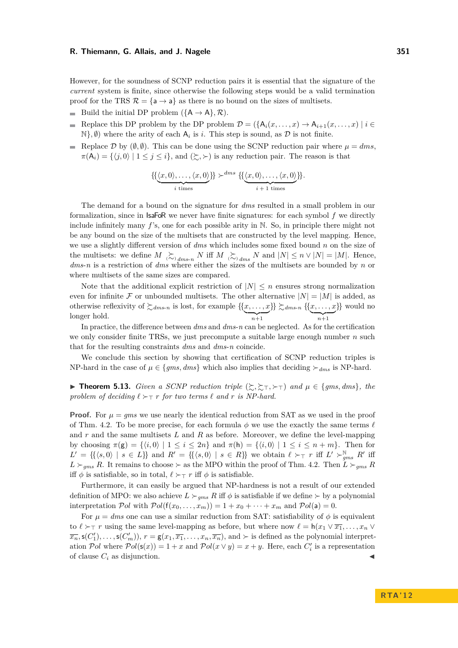However, for the soundness of SCNP reduction pairs it is essential that the signature of the *current* system is finite, since otherwise the following steps would be a valid termination proof for the TRS  $\mathcal{R} = {\mathsf{a} \to \mathsf{a}}$  as there is no bound on the sizes of multisets.

- Build the initial DP problem  $({A \rightarrow A}, R)$ .
- Replace this DP problem by the DP problem  $\mathcal{D} = (\{A_i(x, \ldots, x) \rightarrow A_{i+1}(x, \ldots, x) \mid i \in$  $\mathbb{N}$ ,  $\emptyset$ ) where the arity of each  $A_i$  is *i*. This step is sound, as  $\mathcal D$  is not finite.
- Replace D by  $(\emptyset, \emptyset)$ . This can be done using the SCNP reduction pair where  $\mu = dms$ ,  $\pi(A_i) = \{ \langle j, 0 \rangle \mid 1 \leq j \leq i \},\$ and  $(\succsim, \succ)$  is any reduction pair. The reason is that

$$
\{\{\underbrace{\langle x,0\rangle,\ldots,\langle x,0\rangle}_{i \text{ times}}\}\}^{\text{dms}}\} \left\{\{\underbrace{\langle x,0\rangle,\ldots,\langle x,0\rangle}_{i+1 \text{ times}}\}\right\}.
$$

The demand for a bound on the signature for *dms* resulted in a small problem in our formalization, since in  $IsaF\circ R$  we never have finite signatures: for each symbol f we directly include infinitely many  $f$ 's, one for each possible arity in N. So, in principle there might not be any bound on the size of the multisets that are constructed by the level mapping. Hence, we use a slightly different version of *dms* which includes some fixed bound n on the size of the multisets: we define  $M \gtrsim_{j,dms-n} N$  iff  $M \gtrsim_{j,dms} N$  and  $|N| \leq n \vee |N| = |M|$ . Hence, *dms*-*n* is a restriction of *dms* where either the sizes of the multisets are bounded by n or where multisets of the same sizes are compared.

Note that the additional explicit restriction of  $|N| \leq n$  ensures strong normalization even for infinite F or unbounded multisets. The other alternative  $|N| = |M|$  is added, as otherwise reflexivity of  $\succsim d_{ms-n}$  is lost, for example  $\{\{x, \ldots, x\}$  $\overline{n+1}$  $\{\}\succcurlyeq_{dms-n}\{\{x,\ldots,x\}$  $\overline{n+1}$ }} would no longer hold.

In practice, the difference between *dms* and *dms*-*n* can be neglected. As for the certification we only consider finite TRSs, we just precompute a suitable large enough number  $n$  such that for the resulting constraints *dms* and *dms*-*n* coincide.

We conclude this section by showing that certification of SCNP reduction triples is NP-hard in the case of  $\mu \in \{gms, dms\}$  which also implies that deciding  $\succ_{dms}$  is NP-hard.

**► Theorem 5.13.** *Given a SCNP reduction triple*  $(\succsim, \succsim_{\top}, \succq_{\top})$  *and*  $\mu \in \{gms, dms\}$ *, the* problem of deciding  $\ell \succ_\top r$  for two terms  $\ell$  and  $r$  *is NP-hard.* 

**Proof.** For  $\mu = gms$  we use nearly the identical reduction from SAT as we used in the proof of Thm. [4.2.](#page-6-0) To be more precise, for each formula  $\phi$  we use the exactly the same terms  $\ell$ and  $r$  and the same multisets  $L$  and  $R$  as before. Moreover, we define the level-mapping by choosing  $\pi(g) = \{ \langle i, 0 \rangle \mid 1 \leq i \leq 2n \}$  and  $\pi(h) = \{ \langle i, 0 \rangle \mid 1 \leq i \leq n + m \}$ . Then for  $L' = \{\{\langle s, 0 \rangle | s \in L\}\}\$ and  $R' = \{\{\langle s, 0 \rangle | s \in R\}\}\$ we obtain  $\ell \succ_\top r$  iff  $L' \succ_{gms}^{\mathbb{N}} R'$  iff  $L \succ_{gms} R$ . It remains to choose  $\succ$  as the MPO within the proof of Thm. [4.2.](#page-6-0) Then  $L \succ_{gms} R$ iff  $\phi$  is satisfiable, so in total,  $\ell \succ_\top r$  iff  $\phi$  is satisfiable.

Furthermore, it can easily be argued that NP-hardness is not a result of our extended definition of MPO: we also achieve  $L \succ_{qms} R$  iff  $\phi$  is satisfiable if we define  $\succ$  by a polynomial interpretation Pol with  $Pol(f(x_0, \ldots, x_m)) = 1 + x_0 + \cdots + x_m$  and  $Pol(a) = 0$ .

For  $\mu = dms$  one can use a similar reduction from SAT: satisfiability of  $\phi$  is equivalent to  $\ell > \tau$  r using the same level-mapping as before, but where now  $\ell = h(x_1 \vee \overline{x_1}, \ldots, x_n \vee \overline{x_n})$  $\overline{x_n}$ ,  $\mathsf{s}(C'_1), \ldots, \mathsf{s}(C'_m)$ ,  $r = \mathsf{g}(x_1, \overline{x_1}, \ldots, x_n, \overline{x_n})$ , and  $\succ$  is defined as the polynomial interpretation Pol where  $Pol(s(x)) = 1 + x$  and  $Pol(x \vee y) = x + y$ . Here, each  $C'_i$  is a representation of clause  $C_i$  as disjunction.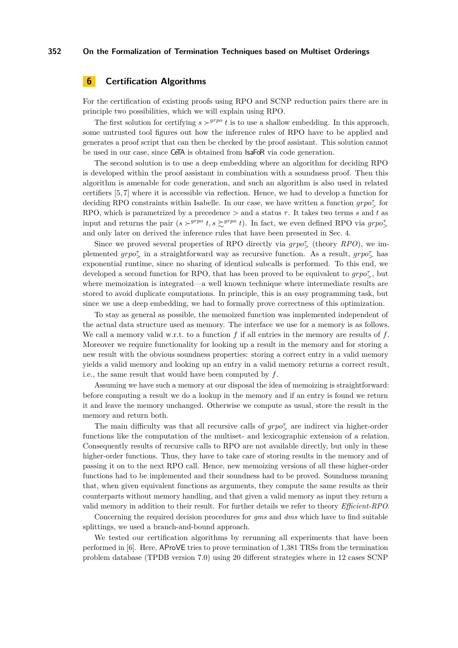# <span id="page-13-0"></span>**6 Certification Algorithms**

For the certification of existing proofs using RPO and SCNP reduction pairs there are in principle two possibilities, which we will explain using RPO.

The first solution for certifying  $s \succ^{grpo} t$  is to use a shallow embedding. In this approach, some untrusted tool figures out how the inference rules of RPO have to be applied and generates a proof script that can then be checked by the proof assistant. This solution cannot be used in our case, since CeTA is obtained from IsaFoR via code generation.

The second solution is to use a deep embedding where an algorithm for deciding RPO is developed within the proof assistant in combination with a soundness proof. Then this algorithm is amenable for code generation, and such an algorithm is also used in related certifiers [\[5,](#page-14-2) [7\]](#page-15-15) where it is accessible via reflection. Hence, we had to develop a function for deciding RPO constraints within Isabelle. In our case, we have written a function  $\text{gro}_{> 0}^{\tau}$  for RPO, which is parametrized by a precedence  $>$  and a status  $\tau$ . It takes two terms s and t as input and returns the pair  $(s \succ^{grpo} t, s \succsim^{grpo} t)$ . In fact, we even defined RPO via  $grpo^{\tau}_{\geq}$ and only later on derived the inference rules that have been presented in Sec. [4.](#page-4-0)

Since we proved several properties of RPO directly via  $\text{grpo}^{\tau}_{\geq}$  (theory *RPO*), we implemented  $g r p o^{\tau}$  in a straightforward way as recursive function. As a result,  $g r p o^{\tau}$  has exponential runtime, since no sharing of identical subcalls is performed. To this end, we developed a second function for RPO, that has been proved to be equivalent to  $\text{grp } \sigma^{\tau}_{\geq}$ , but where memoization is integrated—a well known technique where intermediate results are stored to avoid duplicate computations. In principle, this is an easy programming task, but since we use a deep embedding, we had to formally prove correctness of this optimization.

To stay as general as possible, the memoized function was implemented independent of the actual data structure used as memory. The interface we use for a memory is as follows. We call a memory valid w.r.t. to a function  $f$  if all entries in the memory are results of  $f$ . Moreover we require functionality for looking up a result in the memory and for storing a new result with the obvious soundness properties: storing a correct entry in a valid memory yields a valid memory and looking up an entry in a valid memory returns a correct result, i.e., the same result that would have been computed by  $f$ .

Assuming we have such a memory at our disposal the idea of memoizing is straightforward: before computing a result we do a lookup in the memory and if an entry is found we return it and leave the memory unchanged. Otherwise we compute as usual, store the result in the memory and return both.

The main difficulty was that all recursive calls of  $grpo^{\pi}_{\geq}$  are indirect via higher-order functions like the computation of the multiset- and lexicographic extension of a relation. Consequently results of recursive calls to RPO are not available directly, but only in these higher-order functions. Thus, they have to take care of storing results in the memory and of passing it on to the next RPO call. Hence, new memoizing versions of all these higher-order functions had to be implemented and their soundness had to be proved. Soundness meaning that, when given equivalent functions as arguments, they compute the same results as their counterparts without memory handling, and that given a valid memory as input they return a valid memory in addition to their result. For further details we refer to theory *Efficient-RPO*.

Concerning the required decision procedures for *gms* and *dms* which have to find suitable splittings, we used a branch-and-bound approach.

We tested our certification algorithms by rerunning all experiments that have been performed in [\[6\]](#page-15-3). Here, AProVE tries to prove termination of 1,381 TRSs from the termination problem database (TPDB version 7.0) using 20 different strategies where in 12 cases SCNP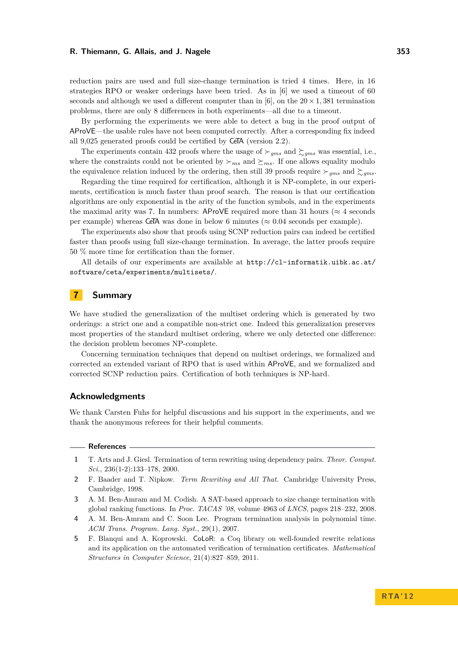reduction pairs are used and full size-change termination is tried 4 times. Here, in 16 strategies RPO or weaker orderings have been tried. As in [\[6\]](#page-15-3) we used a timeout of 60 seconds and although we used a different computer than in [\[6\]](#page-15-3), on the  $20 \times 1,381$  termination problems, there are only 8 differences in both experiments—all due to a timeout.

By performing the experiments we were able to detect a bug in the proof output of AProVE—the usable rules have not been computed correctly. After a corresponding fix indeed all 9,025 generated proofs could be certified by CeTA (version 2.2).

The experiments contain 432 proofs where the usage of  $\succ_{gms}$  and  $\succsim_{gms}$  was essential, i.e., where the constraints could not be oriented by  $\succ_{ms}$  and  $\succeq_{ms}$ . If one allows equality modulo the equivalence relation induced by the ordering, then still 39 proofs require  $\succ_{gms}$  and  $\succ_{gms}$ .

Regarding the time required for certification, although it is NP-complete, in our experiments, certification is much faster than proof search. The reason is that our certification algorithms are only exponential in the arity of the function symbols, and in the experiments the maximal arity was 7. In numbers: AProVE required more than 31 hours ( $\approx$  4 seconds per example) whereas CeTA was done in below 6 minutes ( $\approx 0.04$  seconds per example).

The experiments also show that proofs using SCNP reduction pairs can indeed be certified faster than proofs using full size-change termination. In average, the latter proofs require 50 % more time for certification than the former.

All details of our experiments are available at [http://cl-informatik.uibk.ac.at/](http://cl-informatik.uibk.ac.at/software/ceta/experiments/multisets/) [software/ceta/experiments/multisets/](http://cl-informatik.uibk.ac.at/software/ceta/experiments/multisets/).

# **7 Summary**

We have studied the generalization of the multiset ordering which is generated by two orderings: a strict one and a compatible non-strict one. Indeed this generalization preserves most properties of the standard multiset ordering, where we only detected one difference: the decision problem becomes NP-complete.

Concerning termination techniques that depend on multiset orderings, we formalized and corrected an extended variant of RPO that is used within AProVE, and we formalized and corrected SCNP reduction pairs. Certification of both techniques is NP-hard.

#### **Acknowledgments**

We thank Carsten Fuhs for helpful discussions and his support in the experiments, and we thank the anonymous referees for their helpful comments.

#### **References**

- <span id="page-14-3"></span>**1** T. Arts and J. Giesl. Termination of term rewriting using dependency pairs. *Theor. Comput. Sci.*, 236(1-2):133–178, 2000.
- <span id="page-14-1"></span>**2** F. Baader and T. Nipkow. *Term Rewriting and All That*. Cambridge University Press, Cambridge, 1998.
- <span id="page-14-0"></span>**3** A. M. Ben-Amram and M. Codish. A SAT-based approach to size change termination with global ranking functions. In *Proc. TACAS '08*, volume 4963 of *LNCS*, pages 218–232, 2008.
- <span id="page-14-4"></span>**4** A. M. Ben-Amram and C. Soon Lee. Program termination analysis in polynomial time. *ACM Trans. Program. Lang. Syst.*, 29(1), 2007.
- <span id="page-14-2"></span>**5** F. Blanqui and A. Koprowski. CoLoR: a Coq library on well-founded rewrite relations and its application on the automated verification of termination certificates. *Mathematical Structures in Computer Science*, 21(4):827–859, 2011.